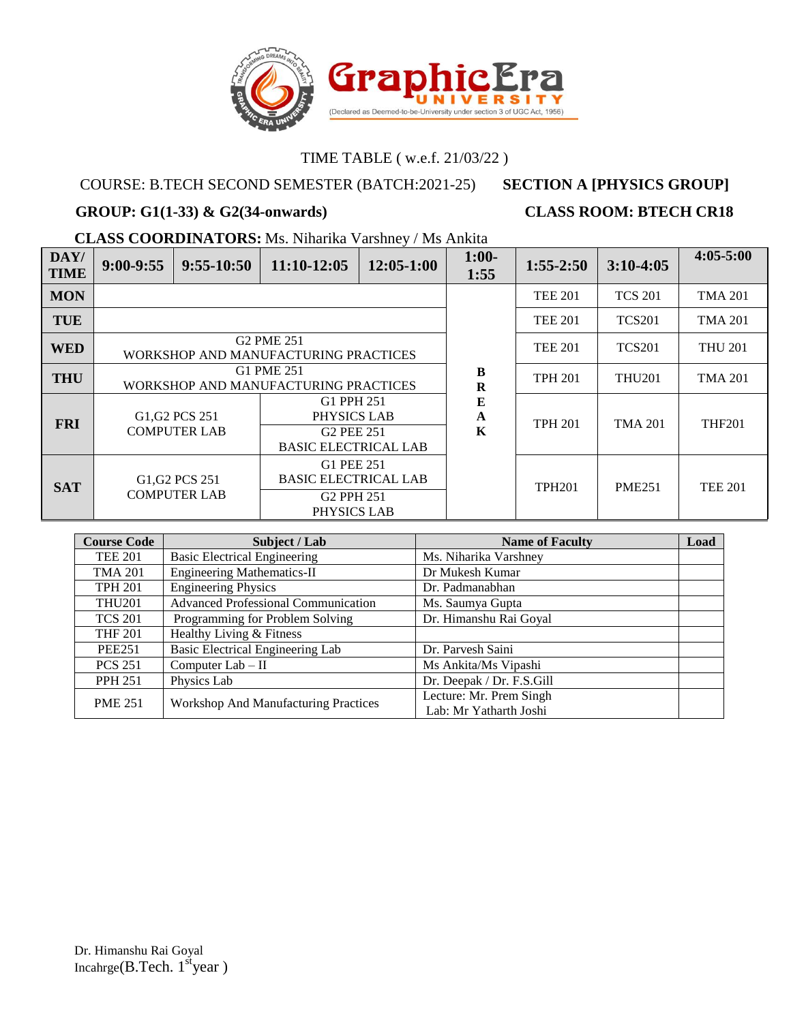

# COURSE: B.TECH SECOND SEMESTER (BATCH:2021-25) **SECTION A [PHYSICS GROUP]**

### **GROUP: G1(1-33) & G2(34-onwards) CLASS ROOM: BTECH CR18**

**CLASS COORDINATORS:** Ms. Niharika Varshney / Ms Ankita

| DAY/<br><b>TIME</b> | $9:00-9:55$ | $9:55-10:50$                                                               | $11:10-12:05$                                                                      | $12:05-1:00$ | $1:00-$<br>1:55     | $1:55-2:50$    | $3:10-4:05$    | $4:05 - 5:00$  |
|---------------------|-------------|----------------------------------------------------------------------------|------------------------------------------------------------------------------------|--------------|---------------------|----------------|----------------|----------------|
| <b>MON</b>          |             |                                                                            |                                                                                    |              |                     | <b>TEE 201</b> | <b>TCS 201</b> | <b>TMA 201</b> |
| <b>TUE</b>          |             |                                                                            |                                                                                    |              |                     | <b>TEE 201</b> | <b>TCS201</b>  | <b>TMA 201</b> |
| <b>WED</b>          |             | <b>G2 PME 251</b><br>WORKSHOP AND MANUFACTURING PRACTICES                  |                                                                                    |              |                     | <b>TEE 201</b> | <b>TCS201</b>  | <b>THU 201</b> |
| <b>THU</b>          |             |                                                                            | G1 PME 251<br>WORKSHOP AND MANUFACTURING PRACTICES                                 |              | $\bf{B}$<br>$\bf R$ | <b>TPH 201</b> | <b>THU201</b>  | <b>TMA 201</b> |
| <b>FRI</b>          |             | G <sub>1</sub> , G <sub>2</sub> PC <sub>S</sub> 251<br><b>COMPUTER LAB</b> | G1 PPH 251<br>PHYSICS LAB<br>G <sub>2</sub> PEE 251<br><b>BASIC ELECTRICAL LAB</b> |              | E<br>A<br>K         | <b>TPH 201</b> | <b>TMA 201</b> | <b>THF201</b>  |
| <b>SAT</b>          |             | G <sub>1</sub> , G <sub>2</sub> PC <sub>S</sub> 251<br><b>COMPUTER LAB</b> | G1 PEE 251<br><b>BASIC ELECTRICAL LAB</b><br>G <sub>2</sub> PPH 251<br>PHYSICS LAB |              |                     | <b>TPH201</b>  | <b>PME251</b>  | <b>TEE 201</b> |

| <b>Course Code</b> | Subject / Lab                               | <b>Name of Faculty</b>                            | Load |
|--------------------|---------------------------------------------|---------------------------------------------------|------|
| <b>TEE 201</b>     | <b>Basic Electrical Engineering</b>         | Ms. Niharika Varshney                             |      |
| <b>TMA 201</b>     | <b>Engineering Mathematics-II</b>           | Dr Mukesh Kumar                                   |      |
| <b>TPH 201</b>     | <b>Engineering Physics</b>                  | Dr. Padmanabhan                                   |      |
| <b>THU201</b>      | <b>Advanced Professional Communication</b>  | Ms. Saumya Gupta                                  |      |
| <b>TCS 201</b>     | Programming for Problem Solving             | Dr. Himanshu Rai Goyal                            |      |
| <b>THF 201</b>     | Healthy Living & Fitness                    |                                                   |      |
| <b>PEE251</b>      | Basic Electrical Engineering Lab            | Dr. Parvesh Saini                                 |      |
| <b>PCS 251</b>     | Computer $Lab - II$                         | Ms Ankita/Ms Vipashi                              |      |
| <b>PPH 251</b>     | Physics Lab                                 | Dr. Deepak / Dr. F.S.Gill                         |      |
| <b>PME 251</b>     | <b>Workshop And Manufacturing Practices</b> | Lecture: Mr. Prem Singh<br>Lab: Mr Yatharth Joshi |      |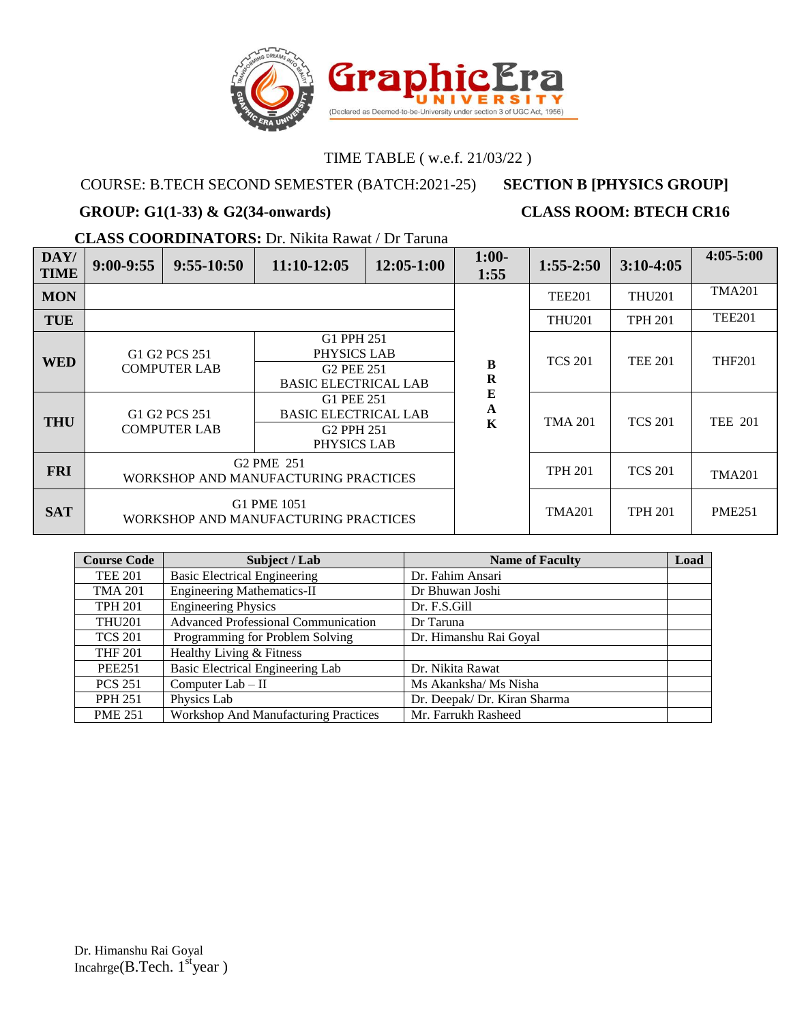

# COURSE: B.TECH SECOND SEMESTER (BATCH:2021-25) **SECTION B [PHYSICS GROUP]**

### **GROUP: G1(1-33) & G2(34-onwards) CLASS ROOM: BTECH CR16**

**CLASS COORDINATORS:** Dr. Nikita Rawat / Dr Taruna

| DAY/<br><b>TIME</b> | $9:00-9:55$ | $9:55-10:50$                         | 11:10-12:05                                                                        | 12:05-1:00 | $1:00-$<br>1:55               | $1:55-2:50$    | $3:10-4:05$    | $4:05 - 5:00$  |
|---------------------|-------------|--------------------------------------|------------------------------------------------------------------------------------|------------|-------------------------------|----------------|----------------|----------------|
| <b>MON</b>          |             |                                      |                                                                                    |            |                               | <b>TEE201</b>  | <b>THU201</b>  | <b>TMA201</b>  |
| <b>TUE</b>          |             |                                      |                                                                                    |            |                               | <b>THU201</b>  | <b>TPH 201</b> | <b>TEE201</b>  |
| <b>WED</b>          |             | G1 G2 PCS 251<br><b>COMPUTER LAB</b> | G1 PPH 251<br>PHYSICS LAB<br>G <sub>2</sub> PEE 251<br><b>BASIC ELECTRICAL LAB</b> |            | B<br>$\bf R$                  | <b>TCS 201</b> | <b>TEE 201</b> | <b>THF201</b>  |
| <b>THU</b>          |             | G1 G2 PCS 251<br><b>COMPUTER LAB</b> | G1 PEE 251<br><b>BASIC ELECTRICAL LAB</b><br>G <sub>2</sub> PPH 251<br>PHYSICS LAB |            | ${\bf E}$<br>$\mathbf A$<br>K | <b>TMA 201</b> | <b>TCS 201</b> | <b>TEE 201</b> |
| <b>FRI</b>          |             |                                      | G <sub>2</sub> PM <sub>E</sub> 251<br>WORKSHOP AND MANUFACTURING PRACTICES         |            |                               | <b>TPH 201</b> | <b>TCS 201</b> | <b>TMA201</b>  |
| <b>SAT</b>          |             |                                      | G1 PME 1051<br>WORKSHOP AND MANUFACTURING PRACTICES                                |            |                               | <b>TMA201</b>  | <b>TPH 201</b> | <b>PME251</b>  |

| <b>Course Code</b> | Subject / Lab                               | <b>Name of Faculty</b>       | Load |
|--------------------|---------------------------------------------|------------------------------|------|
| <b>TEE 201</b>     | <b>Basic Electrical Engineering</b>         | Dr. Fahim Ansari             |      |
| <b>TMA 201</b>     | <b>Engineering Mathematics-II</b>           | Dr Bhuwan Joshi              |      |
| <b>TPH 201</b>     | <b>Engineering Physics</b>                  | Dr. F.S.Gill                 |      |
| <b>THU201</b>      | <b>Advanced Professional Communication</b>  | Dr Taruna                    |      |
| <b>TCS 201</b>     | Programming for Problem Solving             | Dr. Himanshu Rai Goyal       |      |
| <b>THF 201</b>     | Healthy Living & Fitness                    |                              |      |
| <b>PEE251</b>      | Basic Electrical Engineering Lab            | Dr. Nikita Rawat             |      |
| <b>PCS 251</b>     | Computer Lab - II                           | Ms Akanksha/ Ms Nisha        |      |
| <b>PPH 251</b>     | Physics Lab                                 | Dr. Deepak/ Dr. Kiran Sharma |      |
| <b>PME 251</b>     | <b>Workshop And Manufacturing Practices</b> | Mr. Farrukh Rasheed          |      |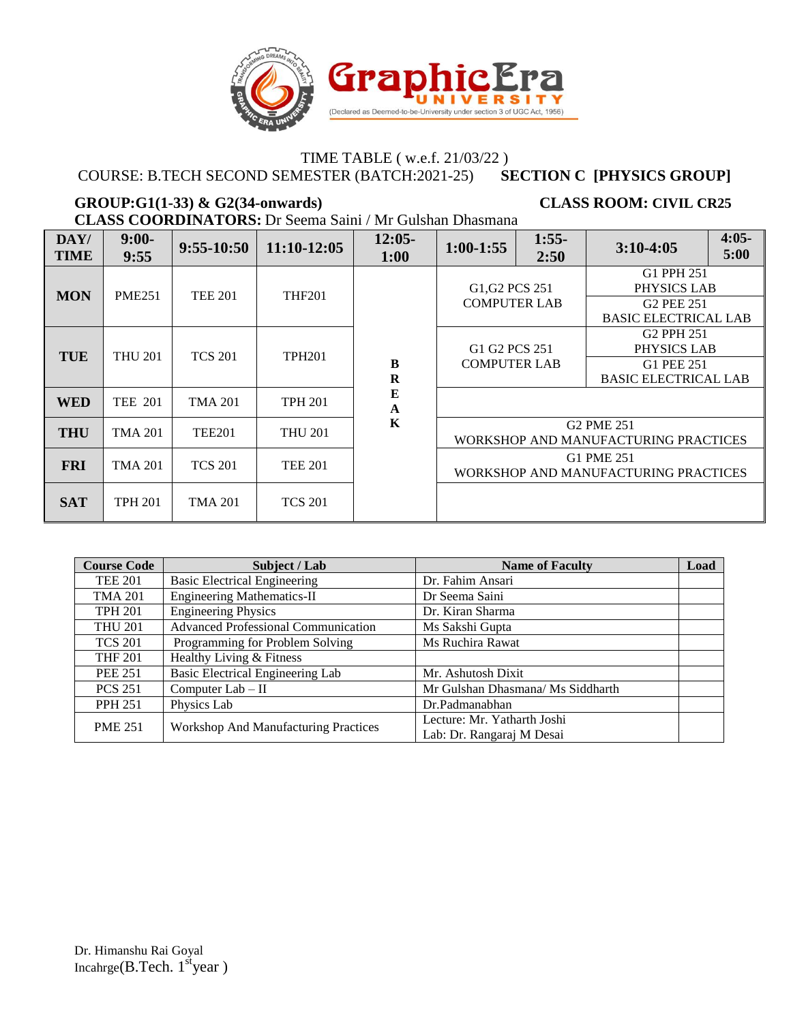

COURSE: B.TECH SECOND SEMESTER (BATCH:2021-25) **SECTION C [PHYSICS GROUP]**

### GROUP:G1(1-33) & G2(34-onwards) CLASS ROOM: CIVIL CR25

**CLASS COORDINATORS:** Dr Seema Saini / Mr Gulshan Dhasmana

| DAY/<br><b>TIME</b> | $9:00-$<br>9:55 | $9:55-10:50$   | 11:10-12:05    | $12:05-$<br>1:00        | $1:00-1:55$                           | $1:55-$<br>2:50 | $3:10-4:05$                                                                        | $4:05-$<br>5:00 |
|---------------------|-----------------|----------------|----------------|-------------------------|---------------------------------------|-----------------|------------------------------------------------------------------------------------|-----------------|
| <b>MON</b>          | <b>PME251</b>   | <b>TEE 201</b> | <b>THF201</b>  |                         | G1, G2 PCS 251<br><b>COMPUTER LAB</b> |                 | G1 PPH 251<br>PHYSICS LAB<br>G <sub>2</sub> PEE 251<br><b>BASIC ELECTRICAL LAB</b> |                 |
| <b>TUE</b>          | <b>THU 201</b>  | <b>TCS 201</b> | <b>TPH201</b>  | $\bf{B}$<br>$\mathbf R$ | G1 G2 PCS 251<br><b>COMPUTER LAB</b>  |                 | G <sub>2</sub> PPH 251<br>PHYSICS LAB<br>G1 PEE 251<br><b>BASIC ELECTRICAL LAB</b> |                 |
| <b>WED</b>          | <b>TEE 201</b>  | <b>TMA 201</b> | <b>TPH 201</b> | E<br>$\mathbf{A}$       |                                       |                 |                                                                                    |                 |
| <b>THU</b>          | <b>TMA 201</b>  | <b>TEE201</b>  | <b>THU 201</b> | K                       |                                       |                 | G <sub>2</sub> PM <sub>E</sub> 251<br>WORKSHOP AND MANUFACTURING PRACTICES         |                 |
| <b>FRI</b>          | <b>TMA 201</b>  | <b>TCS 201</b> | <b>TEE 201</b> |                         | WORKSHOP AND MANUFACTURING PRACTICES  |                 | G1 PME 251                                                                         |                 |
| <b>SAT</b>          | <b>TPH 201</b>  | <b>TMA 201</b> | <b>TCS 201</b> |                         |                                       |                 |                                                                                    |                 |

| <b>Course Code</b> | Subject / Lab                               | <b>Name of Faculty</b>            | Load |
|--------------------|---------------------------------------------|-----------------------------------|------|
| <b>TEE 201</b>     | <b>Basic Electrical Engineering</b>         | Dr. Fahim Ansari                  |      |
| <b>TMA 201</b>     | <b>Engineering Mathematics-II</b>           | Dr Seema Saini                    |      |
| <b>TPH 201</b>     | <b>Engineering Physics</b>                  | Dr. Kiran Sharma                  |      |
| <b>THU 201</b>     | <b>Advanced Professional Communication</b>  | Ms Sakshi Gupta                   |      |
| <b>TCS 201</b>     | Programming for Problem Solving             | Ms Ruchira Rawat                  |      |
| <b>THF 201</b>     | Healthy Living & Fitness                    |                                   |      |
| <b>PEE 251</b>     | Basic Electrical Engineering Lab            | Mr. Ashutosh Dixit                |      |
| <b>PCS 251</b>     | Computer $Lab - II$                         | Mr Gulshan Dhasmana/ Ms Siddharth |      |
| <b>PPH 251</b>     | Physics Lab                                 | Dr.Padmanabhan                    |      |
| <b>PME 251</b>     | <b>Workshop And Manufacturing Practices</b> | Lecture: Mr. Yatharth Joshi       |      |
|                    |                                             | Lab: Dr. Rangaraj M Desai         |      |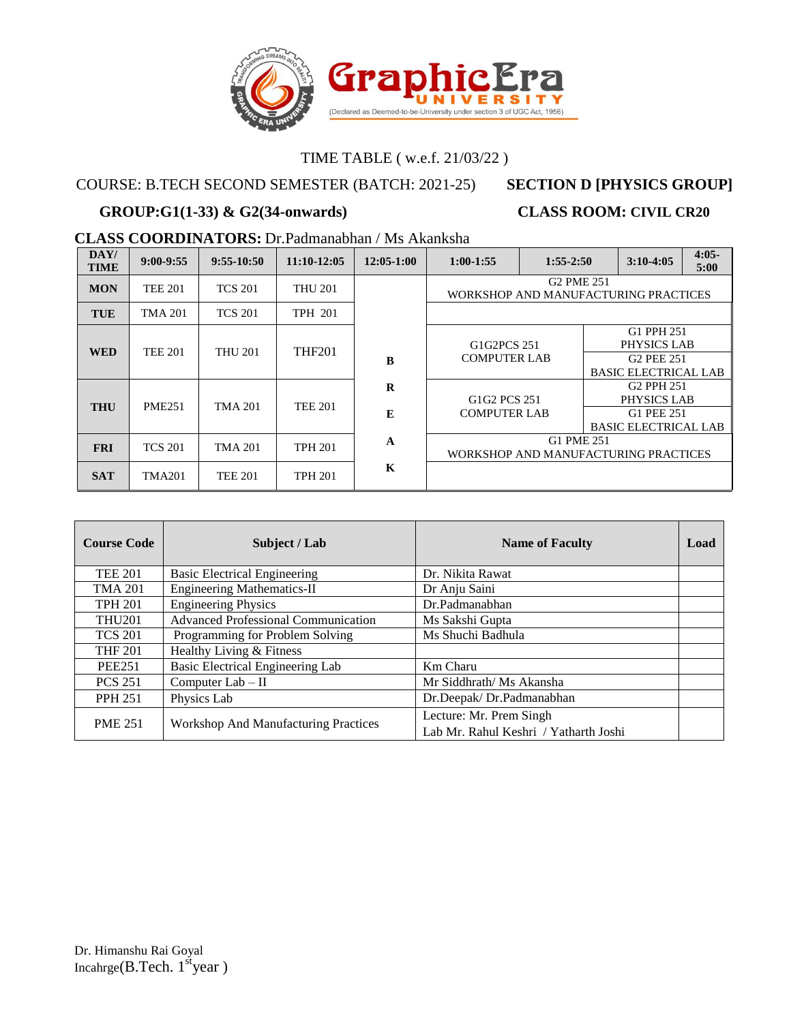

## COURSE: B.TECH SECOND SEMESTER (BATCH: 2021-25) **SECTION D [PHYSICS GROUP]**

# **GROUP:G1(1-33) & G2(34-onwards) CLASS ROOM: CIVIL CR20**

**CLASS COORDINATORS:** Dr.Padmanabhan / Ms Akanksha

| DAY/<br><b>TIME</b> | $9:00-9:55$    | $9:55-10:50$   | $11:10-12:05$  | $12:05-1:00$  | $1:00-1:55$                                        | $1:55-2:50$            |  | $3:10-4:05$                                                                        | $4:05-$<br>5:00 |
|---------------------|----------------|----------------|----------------|---------------|----------------------------------------------------|------------------------|--|------------------------------------------------------------------------------------|-----------------|
| <b>MON</b>          | <b>TEE 201</b> | <b>TCS 201</b> | <b>THU 201</b> |               | WORKSHOP AND MANUFACTURING PRACTICES               | G <sub>2</sub> PME 251 |  |                                                                                    |                 |
| <b>TUE</b>          | TMA 201        | <b>TCS 201</b> | <b>TPH 201</b> |               |                                                    |                        |  |                                                                                    |                 |
| <b>WED</b>          | <b>TEE 201</b> | <b>THU 201</b> | <b>THF201</b>  | B             | G1G2PCS 251<br><b>COMPUTER LAB</b>                 |                        |  | G1 PPH 251<br>PHYSICS LAB<br><b>G2 PEE 251</b><br><b>BASIC ELECTRICAL LAB</b>      |                 |
| <b>THU</b>          | <b>PME251</b>  | TMA 201        | <b>TEE 201</b> | $\bf{R}$<br>E | G1G2 PCS 251<br><b>COMPUTER LAB</b>                |                        |  | G <sub>2</sub> PPH 251<br>PHYSICS LAB<br>G1 PEE 251<br><b>BASIC ELECTRICAL LAB</b> |                 |
| <b>FRI</b>          | <b>TCS 201</b> | TMA 201        | <b>TPH 201</b> | A             | G1 PME 251<br>WORKSHOP AND MANUFACTURING PRACTICES |                        |  |                                                                                    |                 |
| <b>SAT</b>          | <b>TMA201</b>  | <b>TEE 201</b> | <b>TPH 201</b> | $\mathbf K$   |                                                    |                        |  |                                                                                    |                 |

| <b>Course Code</b> | Subject / Lab                               | <b>Name of Faculty</b>                | Load |
|--------------------|---------------------------------------------|---------------------------------------|------|
| <b>TEE 201</b>     | <b>Basic Electrical Engineering</b>         | Dr. Nikita Rawat                      |      |
| <b>TMA 201</b>     | <b>Engineering Mathematics-II</b>           | Dr Anju Saini                         |      |
| <b>TPH 201</b>     | <b>Engineering Physics</b>                  | Dr.Padmanabhan                        |      |
| <b>THU201</b>      | <b>Advanced Professional Communication</b>  | Ms Sakshi Gupta                       |      |
| <b>TCS 201</b>     | Programming for Problem Solving             | Ms Shuchi Badhula                     |      |
| <b>THF 201</b>     | Healthy Living & Fitness                    |                                       |      |
| <b>PEE251</b>      | Basic Electrical Engineering Lab            | Km Charu                              |      |
| <b>PCS 251</b>     | Computer $Lab - II$                         | Mr Siddhrath/ Ms Akansha              |      |
| <b>PPH 251</b>     | Physics Lab                                 | Dr.Deepak/Dr.Padmanabhan              |      |
| <b>PME 251</b>     | <b>Workshop And Manufacturing Practices</b> | Lecture: Mr. Prem Singh               |      |
|                    |                                             | Lab Mr. Rahul Keshri / Yatharth Joshi |      |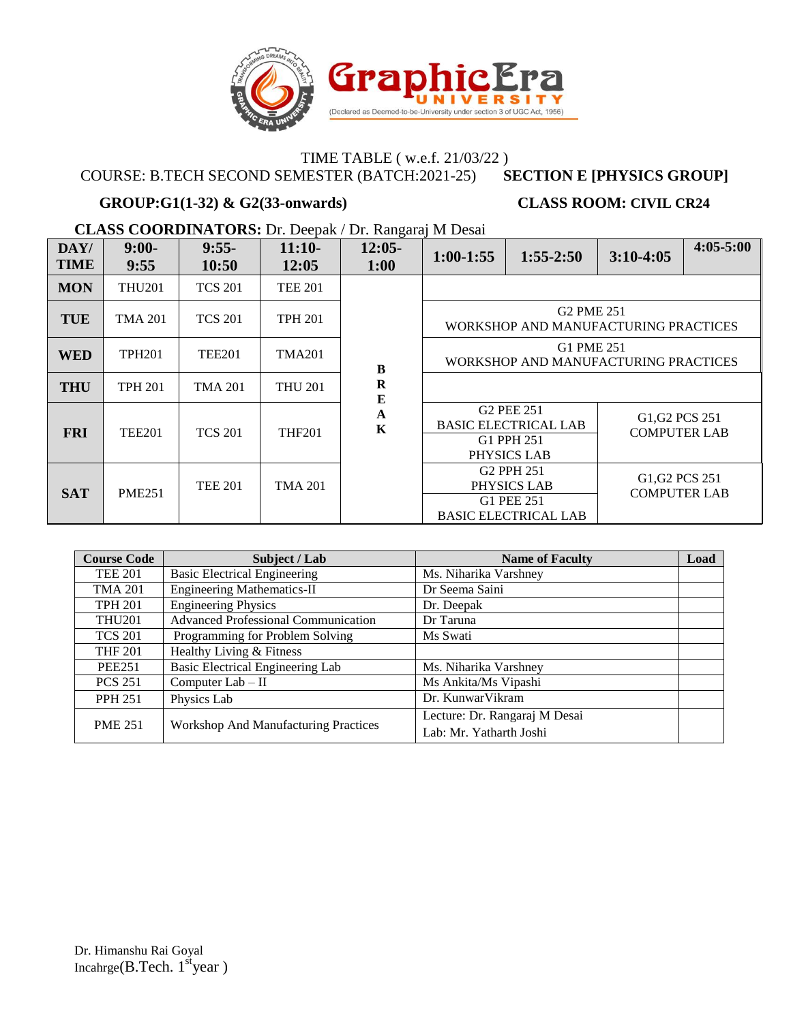

### COURSE: B.TECH SECOND SEMESTER (BATCH:2021-25) **SECTION E [PHYSICS GROUP]**

### **GROUP:G1(1-32) & G2(33-onwards) CLASS ROOM: CIVIL CR24**

**CLASS COORDINATORS:** Dr. Deepak / Dr. Rangaraj M Desai

| DAY/<br><b>TIME</b> | $9:00-$<br>9:55 | $9:55-$<br>10:50 | $11:10-$<br>12:05 | $12:05-$<br>1:00        | $1:00-1:55$                                        | $1:55-2:50$                                                                        | $3:10-4:05$                           | $4:05 - 5:00$ |  |
|---------------------|-----------------|------------------|-------------------|-------------------------|----------------------------------------------------|------------------------------------------------------------------------------------|---------------------------------------|---------------|--|
| <b>MON</b>          | <b>THU201</b>   | <b>TCS 201</b>   | <b>TEE 201</b>    |                         |                                                    |                                                                                    |                                       |               |  |
| <b>TUE</b>          | <b>TMA 201</b>  | <b>TCS 201</b>   | <b>TPH 201</b>    |                         |                                                    | G <sub>2</sub> PM <sub>E</sub> 251<br>WORKSHOP AND MANUFACTURING PRACTICES         |                                       |               |  |
| <b>WED</b>          | <b>TPH201</b>   | <b>TEE201</b>    | <b>TMA201</b>     | B                       | G1 PME 251<br>WORKSHOP AND MANUFACTURING PRACTICES |                                                                                    |                                       |               |  |
| <b>THU</b>          | <b>TPH 201</b>  | <b>TMA 201</b>   | <b>THU 201</b>    | $\mathbf R$<br>$\bf{E}$ |                                                    |                                                                                    |                                       |               |  |
| <b>FRI</b>          | <b>TEE201</b>   | <b>TCS 201</b>   | <b>THF201</b>     | A<br>$\mathbf K$        |                                                    | G <sub>2</sub> PEE 251<br><b>BASIC ELECTRICAL LAB</b><br>G1 PPH 251<br>PHYSICS LAB | G1, G2 PCS 251<br><b>COMPUTER LAB</b> |               |  |
| <b>SAT</b>          | <b>PME251</b>   | <b>TEE 201</b>   | <b>TMA 201</b>    |                         |                                                    | G <sub>2</sub> PPH 251<br>PHYSICS LAB<br>G1 PEE 251<br><b>BASIC ELECTRICAL LAB</b> | G1, G2 PCS 251<br><b>COMPUTER LAB</b> |               |  |

| <b>Course Code</b> | Subject / Lab                               | <b>Name of Faculty</b>                                   | Load |
|--------------------|---------------------------------------------|----------------------------------------------------------|------|
| <b>TEE 201</b>     | <b>Basic Electrical Engineering</b>         | Ms. Niharika Varshney                                    |      |
| <b>TMA 201</b>     | <b>Engineering Mathematics-II</b>           | Dr Seema Saini                                           |      |
| <b>TPH 201</b>     | <b>Engineering Physics</b>                  | Dr. Deepak                                               |      |
| <b>THU201</b>      | <b>Advanced Professional Communication</b>  | Dr Taruna                                                |      |
| <b>TCS 201</b>     | Programming for Problem Solving             | Ms Swati                                                 |      |
| <b>THF 201</b>     | Healthy Living & Fitness                    |                                                          |      |
| <b>PEE251</b>      | Basic Electrical Engineering Lab            | Ms. Niharika Varshney                                    |      |
| <b>PCS 251</b>     | Computer Lab - II                           | Ms Ankita/Ms Vipashi                                     |      |
| <b>PPH 251</b>     | Physics Lab                                 | Dr. KunwarVikram                                         |      |
| <b>PME 251</b>     | <b>Workshop And Manufacturing Practices</b> | Lecture: Dr. Rangaraj M Desai<br>Lab: Mr. Yatharth Joshi |      |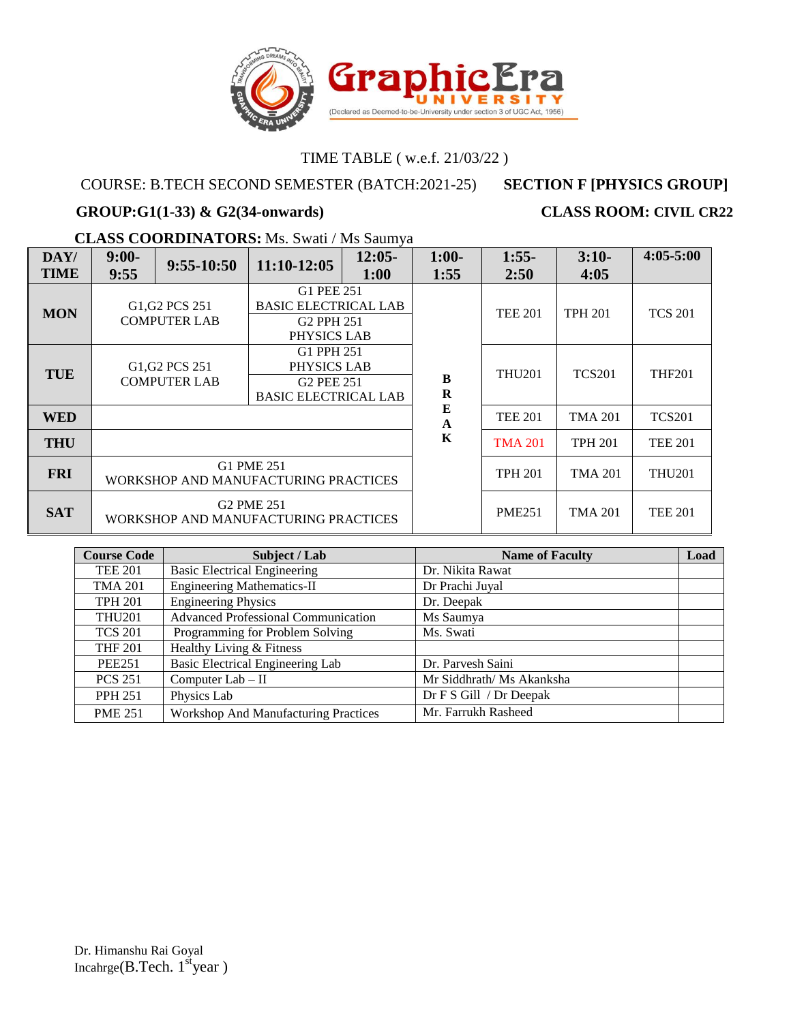

## COURSE: B.TECH SECOND SEMESTER (BATCH:2021-25) **SECTION F [PHYSICS GROUP]**

### GROUP:G1(1-33) & G2(34-onwards) CLASS ROOM: CIVIL CR22

### **CLASS COORDINATORS:** Ms. Swati / Ms Saumya

| DAY/<br><b>TIME</b> | $9:00-$<br>9:55                                                            | $9:55-10:50$                                                               | 11:10-12:05                                                                        | $12:05-$<br>1:00                                                                   | $1:00-$<br>1:55  | $1:55-$<br>2:50 | $3:10-$<br>4:05 | $4:05 - 5:00$  |
|---------------------|----------------------------------------------------------------------------|----------------------------------------------------------------------------|------------------------------------------------------------------------------------|------------------------------------------------------------------------------------|------------------|-----------------|-----------------|----------------|
| <b>MON</b>          | G <sub>1</sub> , G <sub>2</sub> PC <sub>S</sub> 251<br><b>COMPUTER LAB</b> |                                                                            |                                                                                    | G1 PEE 251<br><b>BASIC ELECTRICAL LAB</b><br>G <sub>2</sub> PPH 251<br>PHYSICS LAB |                  | <b>TEE 201</b>  | <b>TPH 201</b>  | <b>TCS 201</b> |
| <b>TUE</b>          |                                                                            | G <sub>1</sub> , G <sub>2</sub> PC <sub>S</sub> 251<br><b>COMPUTER LAB</b> | G1 PPH 251<br>PHYSICS LAB<br>G <sub>2</sub> PEE 251<br><b>BASIC ELECTRICAL LAB</b> |                                                                                    | B<br>$\bf R$     | <b>THU201</b>   | <b>TCS201</b>   | <b>THF201</b>  |
| <b>WED</b>          |                                                                            |                                                                            |                                                                                    |                                                                                    | E<br>$\mathbf A$ | <b>TEE 201</b>  | <b>TMA 201</b>  | <b>TCS201</b>  |
| <b>THU</b>          |                                                                            |                                                                            |                                                                                    |                                                                                    | K                | <b>TMA 201</b>  | <b>TPH 201</b>  | <b>TEE 201</b> |
| <b>FRI</b>          | G1 PME 251<br>WORKSHOP AND MANUFACTURING PRACTICES                         |                                                                            |                                                                                    |                                                                                    | <b>TPH 201</b>   | <b>TMA 201</b>  | <b>THU201</b>   |                |
| <b>SAT</b>          |                                                                            |                                                                            | G <sub>2</sub> PM <sub>E</sub> 251<br>WORKSHOP AND MANUFACTURING PRACTICES         |                                                                                    |                  | <b>PME251</b>   | <b>TMA 201</b>  | <b>TEE 201</b> |

| <b>Course Code</b> | Subject / Lab                               | <b>Name of Faculty</b>    | Load |
|--------------------|---------------------------------------------|---------------------------|------|
| <b>TEE 201</b>     | <b>Basic Electrical Engineering</b>         | Dr. Nikita Rawat          |      |
| <b>TMA 201</b>     | <b>Engineering Mathematics-II</b>           | Dr Prachi Juyal           |      |
| <b>TPH 201</b>     | <b>Engineering Physics</b>                  | Dr. Deepak                |      |
| <b>THU201</b>      | <b>Advanced Professional Communication</b>  | Ms Saumya                 |      |
| <b>TCS 201</b>     | Programming for Problem Solving             | Ms. Swati                 |      |
| <b>THF 201</b>     | Healthy Living & Fitness                    |                           |      |
| <b>PEE251</b>      | Basic Electrical Engineering Lab            | Dr. Parvesh Saini         |      |
| <b>PCS 251</b>     | Computer $Lab - II$                         | Mr Siddhrath/ Ms Akanksha |      |
| <b>PPH 251</b>     | Physics Lab                                 | Dr F S Gill / Dr Deepak   |      |
| <b>PME 251</b>     | <b>Workshop And Manufacturing Practices</b> | Mr. Farrukh Rasheed       |      |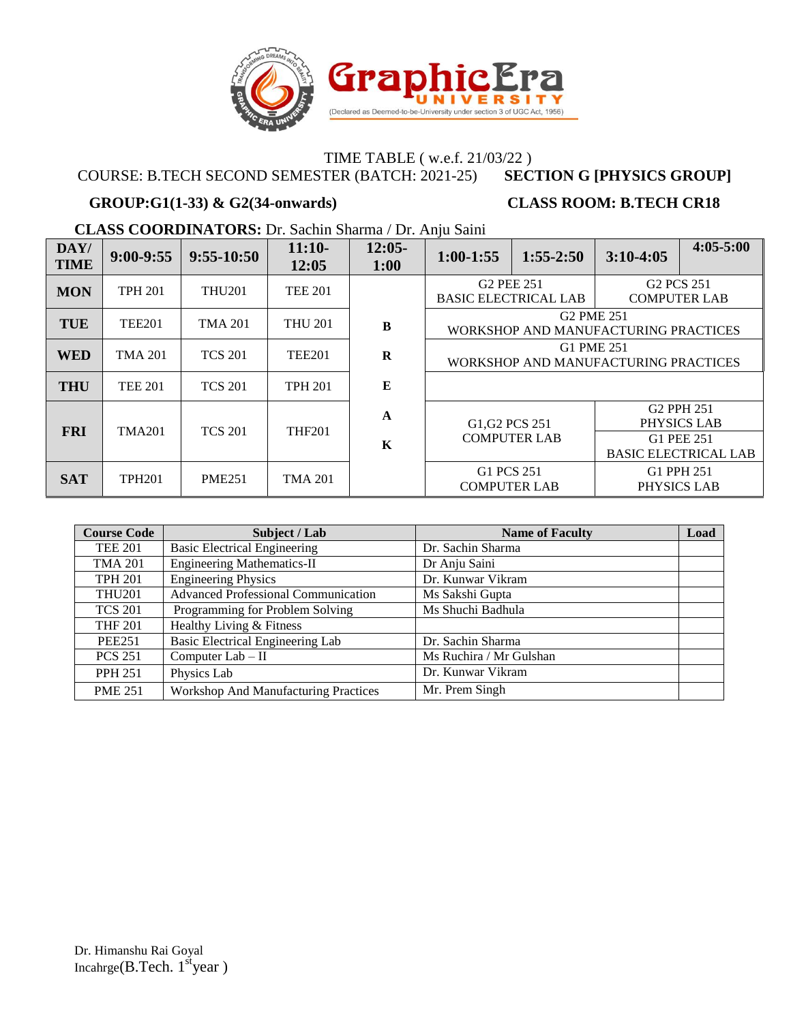

COURSE: B.TECH SECOND SEMESTER (BATCH: 2021-25) **SECTION G [PHYSICS GROUP]**

# **GROUP:G1(1-33) & G2(34-onwards) CLASS ROOM: B.TECH CR18**

**CLASS COORDINATORS:** Dr. Sachin Sharma / Dr. Anju Saini

| DAY/<br><b>TIME</b> | $9:00-9:55$    | $9:55-10:50$   | $11:10-$<br>12:05 | $12:05-$<br>1:00            | $1:00-1:55$                                                                | $1:55-2:50$         | $3:10-4:05$                                               | $4:05 - 5:00$                                                                      |
|---------------------|----------------|----------------|-------------------|-----------------------------|----------------------------------------------------------------------------|---------------------|-----------------------------------------------------------|------------------------------------------------------------------------------------|
| <b>MON</b>          | <b>TPH 201</b> | <b>THU201</b>  | <b>TEE 201</b>    |                             | G <sub>2</sub> PEE 251<br><b>BASIC ELECTRICAL LAB</b>                      |                     | G <sub>2</sub> PC <sub>S</sub> 251<br><b>COMPUTER LAB</b> |                                                                                    |
| <b>TUE</b>          | <b>TEE201</b>  | <b>TMA 201</b> | <b>THU 201</b>    | B                           | G <sub>2</sub> PM <sub>E</sub> 251<br>WORKSHOP AND MANUFACTURING PRACTICES |                     |                                                           |                                                                                    |
| <b>WED</b>          | <b>TMA 201</b> | <b>TCS 201</b> | <b>TEE201</b>     | $\bf{R}$                    | G1 PME 251<br>WORKSHOP AND MANUFACTURING PRACTICES                         |                     |                                                           |                                                                                    |
| <b>THU</b>          | <b>TEE 201</b> | <b>TCS 201</b> | <b>TPH 201</b>    | E                           |                                                                            |                     |                                                           |                                                                                    |
| <b>FRI</b>          | TMA201         | <b>TCS 201</b> | <b>THF201</b>     | $\mathbf{A}$<br>$\mathbf K$ | G <sub>1</sub> , G <sub>2</sub> PC <sub>S</sub> 251                        | <b>COMPUTER LAB</b> |                                                           | G <sub>2</sub> PPH 251<br>PHYSICS LAB<br>G1 PEE 251<br><b>BASIC ELECTRICAL LAB</b> |
| <b>SAT</b>          | <b>TPH201</b>  | <b>PME251</b>  | TMA 201           |                             | G1 PCS 251<br><b>COMPUTER LAB</b>                                          |                     | G1 PPH 251<br>PHYSICS LAB                                 |                                                                                    |

| <b>Course Code</b> | Subject / Lab                               | <b>Name of Faculty</b>  | Load |
|--------------------|---------------------------------------------|-------------------------|------|
| <b>TEE 201</b>     | <b>Basic Electrical Engineering</b>         | Dr. Sachin Sharma       |      |
| <b>TMA 201</b>     | <b>Engineering Mathematics-II</b>           | Dr Anju Saini           |      |
| <b>TPH 201</b>     | <b>Engineering Physics</b>                  | Dr. Kunwar Vikram       |      |
| <b>THU201</b>      | <b>Advanced Professional Communication</b>  | Ms Sakshi Gupta         |      |
| <b>TCS 201</b>     | Programming for Problem Solving             | Ms Shuchi Badhula       |      |
| <b>THF 201</b>     | Healthy Living & Fitness                    |                         |      |
| <b>PEE251</b>      | Basic Electrical Engineering Lab            | Dr. Sachin Sharma       |      |
| <b>PCS 251</b>     | Computer $Lab - II$                         | Ms Ruchira / Mr Gulshan |      |
| <b>PPH 251</b>     | Physics Lab                                 | Dr. Kunwar Vikram       |      |
| <b>PME 251</b>     | <b>Workshop And Manufacturing Practices</b> | Mr. Prem Singh          |      |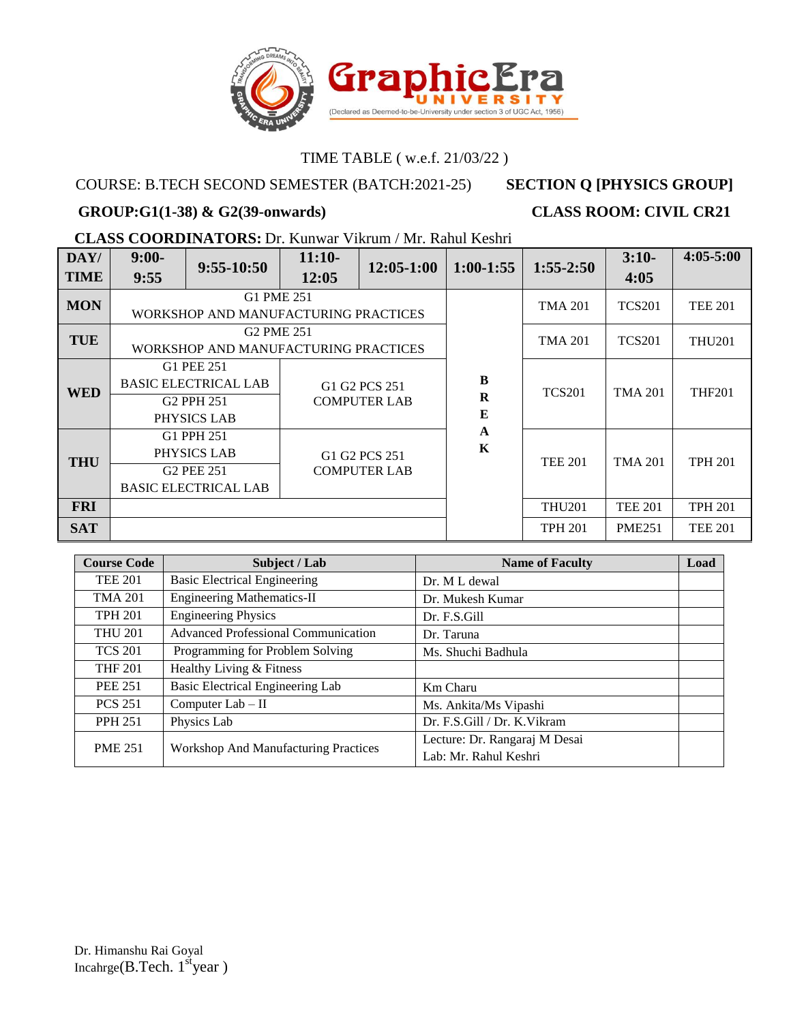

## COURSE: B.TECH SECOND SEMESTER (BATCH:2021-25) **SECTION Q [PHYSICS GROUP]**

## **GROUP:G1(1-38) & G2(39-onwards) CLASS ROOM: CIVIL CR21**

# **CLASS COORDINATORS:** Dr. Kunwar Vikrum / Mr. Rahul Keshri

| DAY/        | $9:00-$                                                                            | $9:55-10:50$                                                                       | $11:10-$                             | $12:05-1:00$                         | $1:00-1:55$                 | $1:55-2:50$    | $3:10-$        | $4:05 - 5:00$  |
|-------------|------------------------------------------------------------------------------------|------------------------------------------------------------------------------------|--------------------------------------|--------------------------------------|-----------------------------|----------------|----------------|----------------|
| <b>TIME</b> | 9:55                                                                               |                                                                                    | 12:05                                |                                      |                             |                | 4:05           |                |
| <b>MON</b>  |                                                                                    | G1 PME 251<br>WORKSHOP AND MANUFACTURING PRACTICES                                 |                                      |                                      |                             | <b>TMA 201</b> | <b>TCS201</b>  | <b>TEE 201</b> |
| <b>TUE</b>  |                                                                                    | <b>G2 PME 251</b><br>WORKSHOP AND MANUFACTURING PRACTICES                          |                                      |                                      |                             | <b>TMA 201</b> | <b>TCS201</b>  | <b>THU201</b>  |
| <b>WED</b>  |                                                                                    | G1 PEE 251<br><b>BASIC ELECTRICAL LAB</b><br>G <sub>2</sub> PPH 251<br>PHYSICS LAB | G1 G2 PCS 251<br><b>COMPUTER LAB</b> |                                      | B<br>$\bf R$<br>Е           | <b>TCS201</b>  | <b>TMA 201</b> | <b>THF201</b>  |
| <b>THU</b>  | G1 PPH 251<br>PHYSICS LAB<br>G <sub>2</sub> PEE 251<br><b>BASIC ELECTRICAL LAB</b> |                                                                                    |                                      | G1 G2 PCS 251<br><b>COMPUTER LAB</b> | $\mathbf{A}$<br>$\mathbf K$ | <b>TEE 201</b> | <b>TMA 201</b> | <b>TPH 201</b> |
| <b>FRI</b>  |                                                                                    |                                                                                    |                                      |                                      | <b>THU201</b>               | <b>TEE 201</b> | <b>TPH 201</b> |                |
| <b>SAT</b>  |                                                                                    |                                                                                    |                                      |                                      |                             | <b>TPH 201</b> | <b>PME251</b>  | <b>TEE 201</b> |

| <b>Course Code</b> | Subject / Lab                               | <b>Name of Faculty</b>        | Load |
|--------------------|---------------------------------------------|-------------------------------|------|
| <b>TEE 201</b>     | <b>Basic Electrical Engineering</b>         | Dr. M L dewal                 |      |
| <b>TMA 201</b>     | <b>Engineering Mathematics-II</b>           | Dr. Mukesh Kumar              |      |
| <b>TPH 201</b>     | <b>Engineering Physics</b>                  | Dr. F.S.Gill                  |      |
| <b>THU 201</b>     | <b>Advanced Professional Communication</b>  | Dr. Taruna                    |      |
| <b>TCS 201</b>     | Programming for Problem Solving             | Ms. Shuchi Badhula            |      |
| <b>THF 201</b>     | Healthy Living & Fitness                    |                               |      |
| <b>PEE 251</b>     | Basic Electrical Engineering Lab            | Km Charu                      |      |
| <b>PCS 251</b>     | Computer $Lab - II$                         | Ms. Ankita/Ms Vipashi         |      |
| <b>PPH 251</b>     | Physics Lab                                 | Dr. F.S.Gill / Dr. K.Vikram   |      |
| <b>PME 251</b>     | <b>Workshop And Manufacturing Practices</b> | Lecture: Dr. Rangaraj M Desai |      |
|                    |                                             | Lab: Mr. Rahul Keshri         |      |